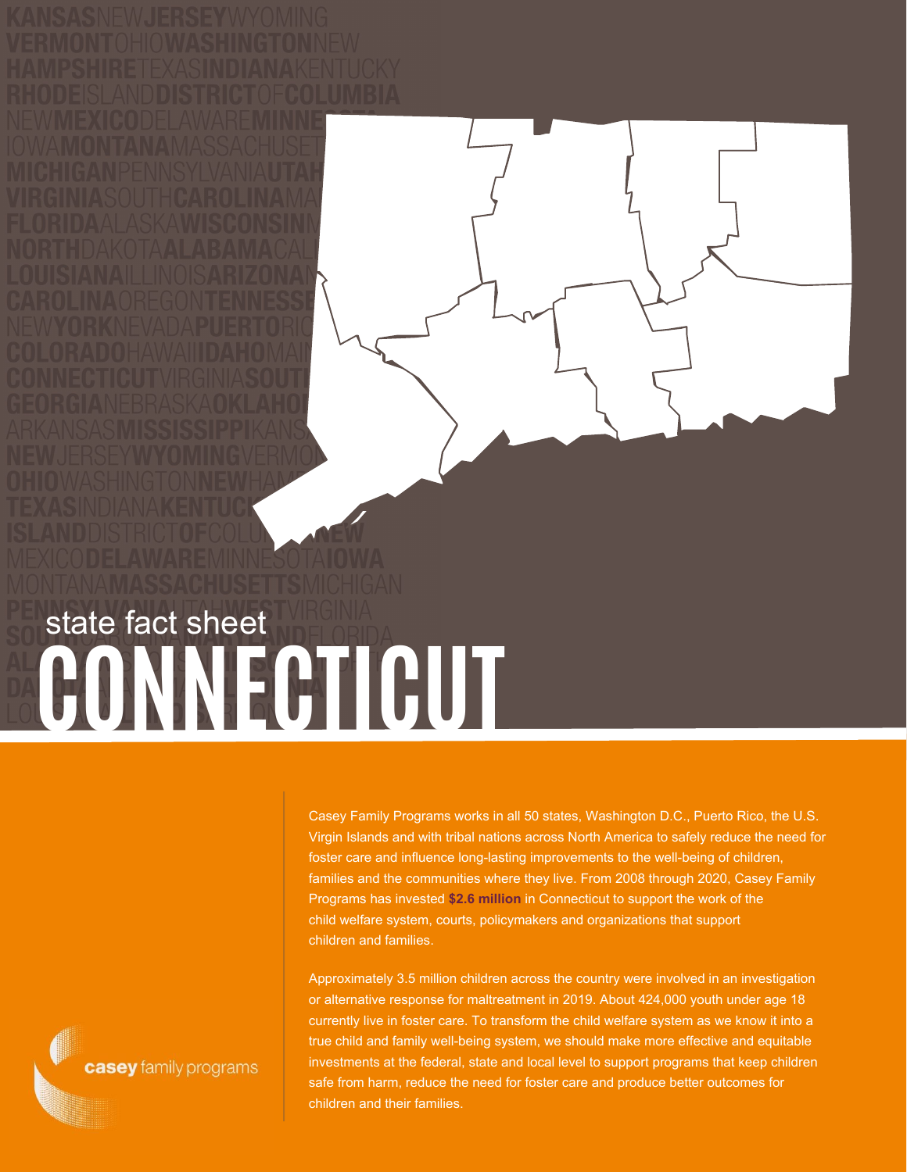**CONNECTICUT** state fact sheet

> Casey Family Programs works in all 50 states, Washington D.C., Puerto Rico, the U.S. Virgin Islands and with tribal nations across North America to safely reduce the need for foster care and influence long-lasting improvements to the well-being of children, families and the communities where they live. From 2008 through 2020, Casey Family Programs has invested **\$2.6 million** in Connecticut to support the work of the child welfare system, courts, policymakers and organizations that support children and families.

Approximately 3.5 million children across the country were involved in an investigation or alternative response for maltreatment in 2019. About 424,000 youth under age 18 currently live in foster care. To transform the child welfare system as we know it into a true child and family well-being system, we should make more effective and equitable investments at the federal, state and local level to support programs that keep children safe from harm, reduce the need for foster care and produce better outcomes for children and their families.

casey family programs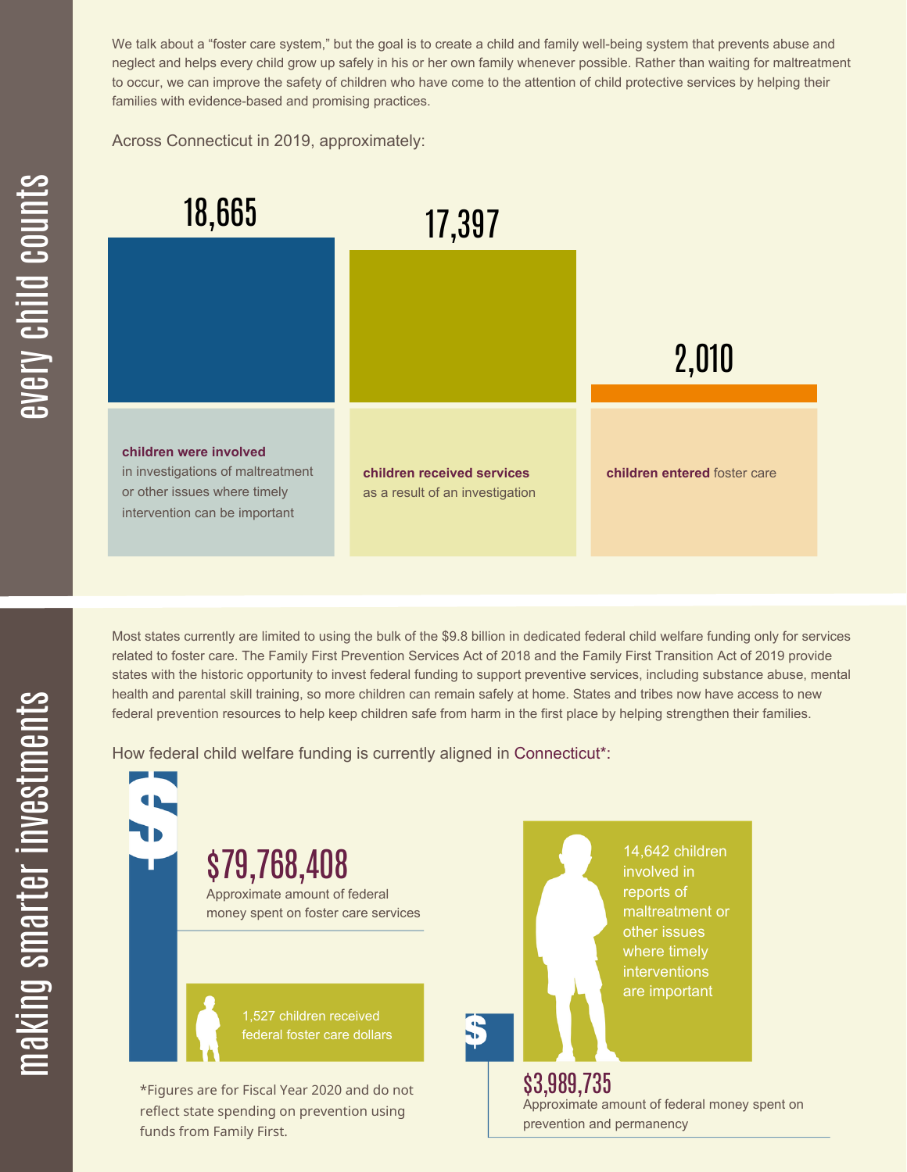We talk about a "foster care system," but the goal is to create a child and family well-being system that prevents abuse and neglect and helps every child grow up safely in his or her own family whenever possible. Rather than waiting for maltreatment to occur, we can improve the safety of children who have come to the attention of child protective services by helping their families with evidence-based and promising practices.

Across Connecticut in 2019, approximately:



Most states currently are limited to using the bulk of the \$9.8 billion in dedicated federal child welfare funding only for services related to foster care. The Family First Prevention Services Act of 2018 and the Family First Transition Act of 2019 provide states with the historic opportunity to invest federal funding to support preventive services, including substance abuse, mental health and parental skill training, so more children can remain safely at home. States and tribes now have access to new federal prevention resources to help keep children safe from harm in the first place by helping strengthen their families.

How federal child welfare funding is currently aligned in Connecticut\*:



 $\mathbf \Xi$ **CO** kin gs $\mathbf \Xi$ **CO** rtæ r in  $\, >$ c جا  $\mathbf \Xi$ c  $\blacksquare$  $\mathbf{S}$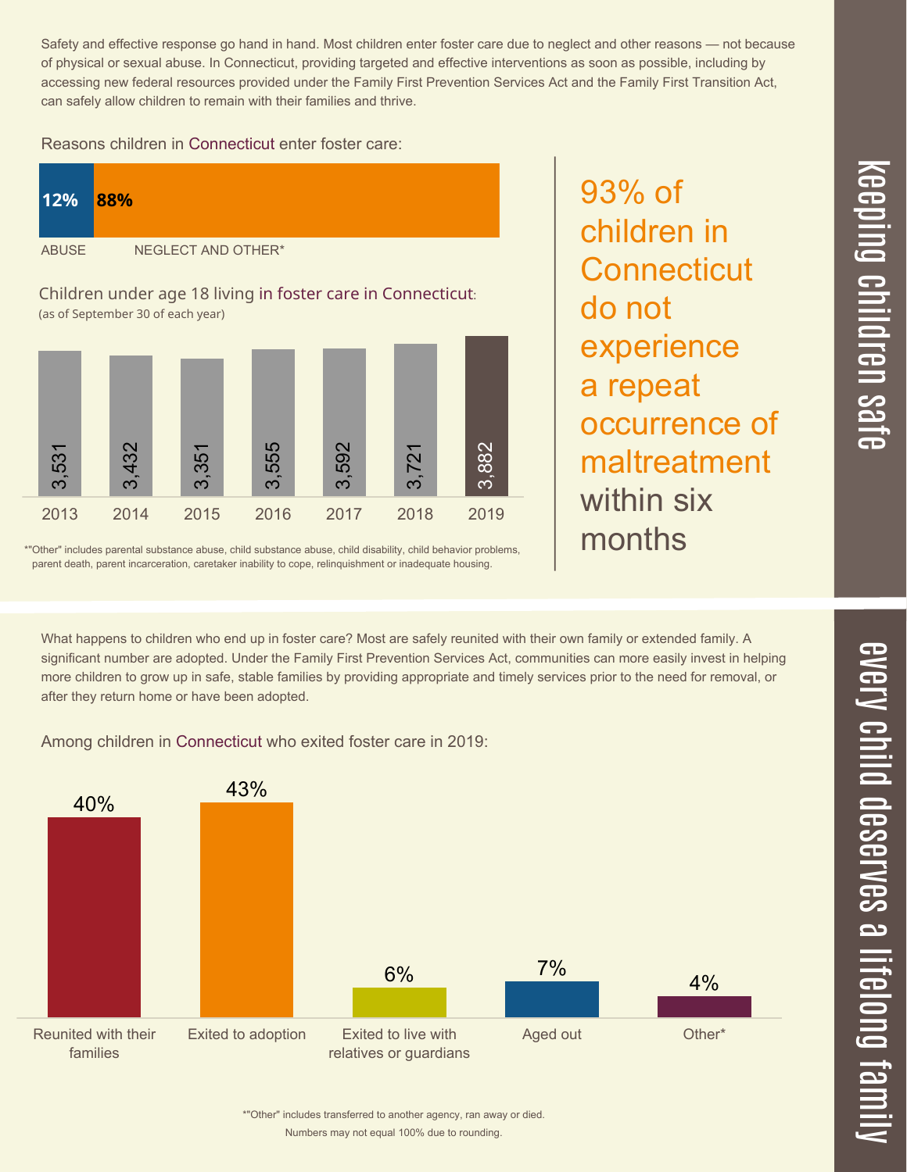$\overline{\mathbf \Theta}$  $\overline{\mathbf{C}}$ <u>pin</u>  $\overline{\mathbf{C}}$  $\overline{\mathbf{C}}$  $\equiv$  $\overline{\mathbf{c}}$  $\overline{\phantom{0}}$  $\boldsymbol{\mathcal{O}}$ a  $\overrightarrow{\mathbf{e}}$ 

> $\overline{\mathbf{C}}$  $\leq$  $\overline{\mathbf{C}}$  $\overline{\mathsf{Z}}$  $\overline{\mathbf{C}}$

> > $\equiv$

 $\blacksquare$ e  $\boldsymbol{\mathcal{C}}$  $\overline{\mathbf{C}}$ 

 $\overline{\phantom{1}}$ 

Safety and effective response go hand in hand. Most children enter foster care due to neglect and other reasons — not because of physical or sexual abuse. In Connecticut, providing targeted and effective interventions as soon as possible, including by accessing new federal resources provided under the Family First Prevention Services Act and the Family First Transition Act, can safely allow children to remain with their families and thrive.

93% of

do not

children in

**Connecticut** 

experience

occurrence of

maltreatment

a repeat

within six

months

Reasons children in Connecticut enter foster care:



\*"Other" includes parental substance abuse, child substance abuse, child disability, child behavior problems, parent death, parent incarceration, caretaker inability to cope, relinquishment or inadequate housing.

What happens to children who end up in foster care? Most are safely reunited with their own family or extended family. A significant number are adopted. Under the Family First Prevention Services Act, communities can more easily invest in helping more children to grow up in safe, stable families by providing appropriate and timely services prior to the need for removal, or after they return home or have been adopted.

Among children in Connecticut who exited foster care in 2019:



Numbers may not equal 100% due to rounding. \*"Other" includes transferred to another agency, ran away or died.

 $\overline{\phantom{a}}$  $\overline{\mathbf{C}}$  $\mathcal{C}$ <u>م</u>  $\equiv$ el<br>O  $\overline{\phantom{0}}$  $\blacksquare$ t<br>B mily